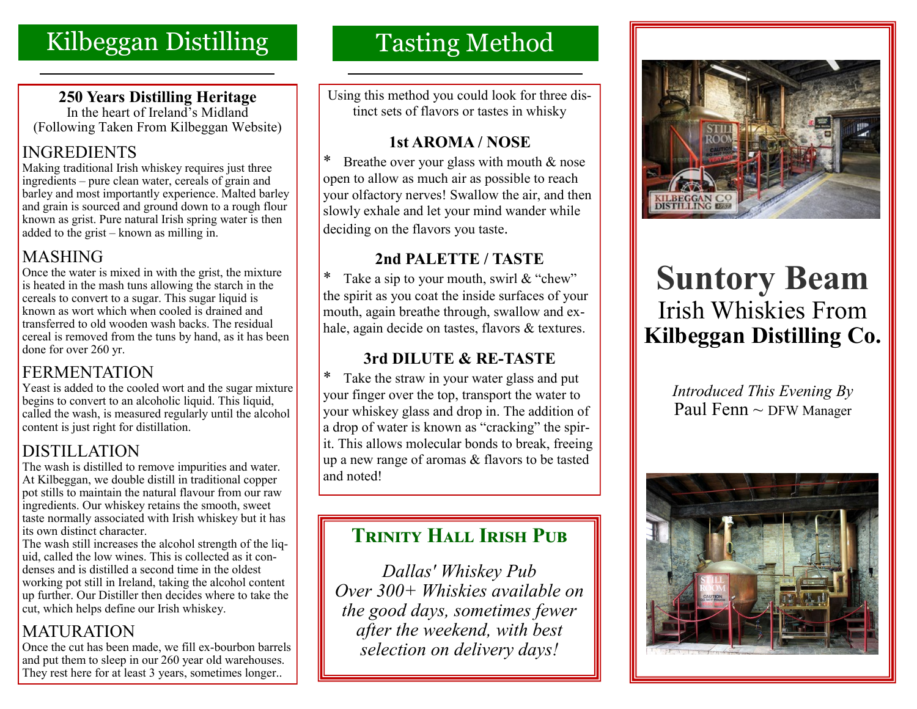# Kilbeggan Distilling

### **250 Years Distilling Heritage**

In the heart of Ireland's Midland (Following Taken From Kilbeggan Website)

## INGREDIENTS

Making traditional Irish whiskey requires just three ingredients – pure clean water, cereals of grain and barley and most importantly experience. Malted barley and grain is sourced and ground down to a rough flour known as grist. Pure natural Irish spring water is then added to the grist – known as milling in.

## MASHING

Once the water is mixed in with the grist, the mixture is heated in the mash tuns allowing the starch in the cereals to convert to a sugar. This sugar liquid is known as wort which when cooled is drained and transferred to old wooden wash backs. The residual cereal is removed from the tuns by hand, as it has been done for over 260 yr.

## **FERMENTATION**

Yeast is added to the cooled wort and the sugar mixture begins to convert to an alcoholic liquid. This liquid, called the wash, is measured regularly until the alcohol content is just right for distillation.

## DISTILLATION

The wash is distilled to remove impurities and water. At Kilbeggan, we double distill in traditional copper pot stills to maintain the natural flavour from our raw ingredients. Our whiskey retains the smooth, sweet taste normally associated with Irish whiskey but it has its own distinct character.

The wash still increases the alcohol strength of the liquid, called the low wines. This is collected as it condenses and is distilled a second time in the oldest working pot still in Ireland, taking the alcohol content up further. Our Distiller then decides where to take the cut, which helps define our Irish whiskey.

## MATURATION

Once the cut has been made, we fill ex-bourbon barrels and put them to sleep in our 260 year old warehouses. They rest here for at least 3 years, sometimes longer..

# Tasting Method

Using this method you could look for three distinct sets of flavors or tastes in whisky

## **1st AROMA / NOSE**

\* Breathe over your glass with mouth & nose open to allow as much air as possible to reach your olfactory nerves! Swallow the air, and then slowly exhale and let your mind wander while deciding on the flavors you taste.

## **2nd PALETTE / TASTE**

\* Take a sip to your mouth, swirl  $&$  "chew" the spirit as you coat the inside surfaces of your mouth, again breathe through, swallow and exhale, again decide on tastes, flavors & textures.

## **3rd DILUTE & RE-TASTE**

\* Take the straw in your water glass and put your finger over the top, transport the water to your whiskey glass and drop in. The addition of a drop of water is known as "cracking" the spirit. This allows molecular bonds to break, freeing up a new range of aromas & flavors to be tasted and noted!

## **TRINITY HALL IRISH PUB**

*Dallas' Whiskey Pub Over 300+ Whiskies available on the good days, sometimes fewer after the weekend, with best selection on delivery days!*



# **Suntory Beam** Irish Whiskies From **Kilbeggan Distilling Co.**

*Introduced This Evening By*  Paul Fenn  $\sim$  DFW Manager